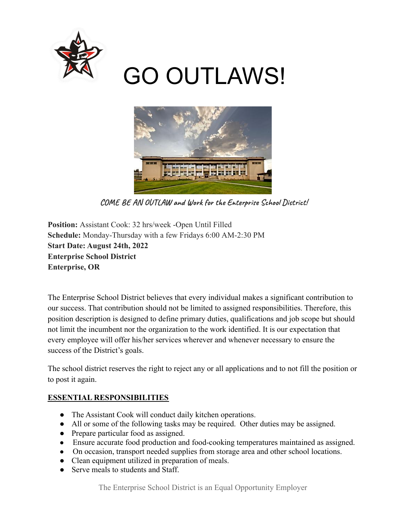

# GO OUTLAWS!



**COME BE AN OUTLAW and Work for the Enterprise School District!**

**Position:** Assistant Cook: 32 hrs/week -Open Until Filled **Schedule:** Monday-Thursday with a few Fridays 6:00 AM-2:30 PM **Start Date: August 24th, 2022 Enterprise School District Enterprise, OR**

The Enterprise School District believes that every individual makes a significant contribution to our success. That contribution should not be limited to assigned responsibilities. Therefore, this position description is designed to define primary duties, qualifications and job scope but should not limit the incumbent nor the organization to the work identified. It is our expectation that every employee will offer his/her services wherever and whenever necessary to ensure the success of the District's goals.

The school district reserves the right to reject any or all applications and to not fill the position or to post it again.

# **ESSENTIAL RESPONSIBILITIES**

- The Assistant Cook will conduct daily kitchen operations.
- All or some of the following tasks may be required. Other duties may be assigned.
- Prepare particular food as assigned.
- Ensure accurate food production and food-cooking temperatures maintained as assigned.
- On occasion, transport needed supplies from storage area and other school locations.
- Clean equipment utilized in preparation of meals.
- Serve meals to students and Staff.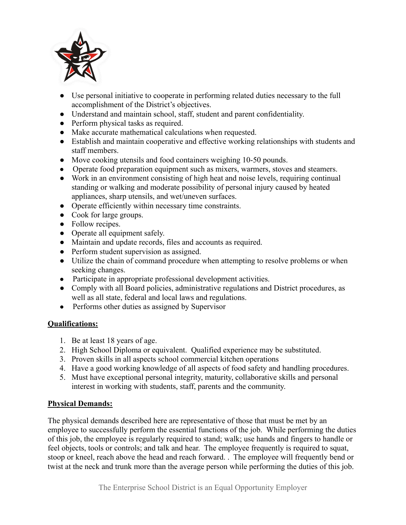

- Use personal initiative to cooperate in performing related duties necessary to the full accomplishment of the District's objectives.
- Understand and maintain school, staff, student and parent confidentiality.
- Perform physical tasks as required.
- Make accurate mathematical calculations when requested.
- Establish and maintain cooperative and effective working relationships with students and staff members.
- Move cooking utensils and food containers weighing 10-50 pounds.
- Operate food preparation equipment such as mixers, warmers, stoves and steamers.
- Work in an environment consisting of high heat and noise levels, requiring continual standing or walking and moderate possibility of personal injury caused by heated appliances, sharp utensils, and wet/uneven surfaces.
- Operate efficiently within necessary time constraints.
- Cook for large groups.
- Follow recipes.
- Operate all equipment safely.
- Maintain and update records, files and accounts as required.
- Perform student supervision as assigned.
- Utilize the chain of command procedure when attempting to resolve problems or when seeking changes.
- Participate in appropriate professional development activities.
- Comply with all Board policies, administrative regulations and District procedures, as well as all state, federal and local laws and regulations.
- Performs other duties as assigned by Supervisor

# **Qualifications:**

- 1. Be at least 18 years of age.
- 2. High School Diploma or equivalent. Qualified experience may be substituted.
- 3. Proven skills in all aspects school commercial kitchen operations
- 4. Have a good working knowledge of all aspects of food safety and handling procedures.
- 5. Must have exceptional personal integrity, maturity, collaborative skills and personal interest in working with students, staff, parents and the community.

# **Physical Demands:**

The physical demands described here are representative of those that must be met by an employee to successfully perform the essential functions of the job. While performing the duties of this job, the employee is regularly required to stand; walk; use hands and fingers to handle or feel objects, tools or controls; and talk and hear. The employee frequently is required to squat, stoop or kneel, reach above the head and reach forward. . The employee will frequently bend or twist at the neck and trunk more than the average person while performing the duties of this job.